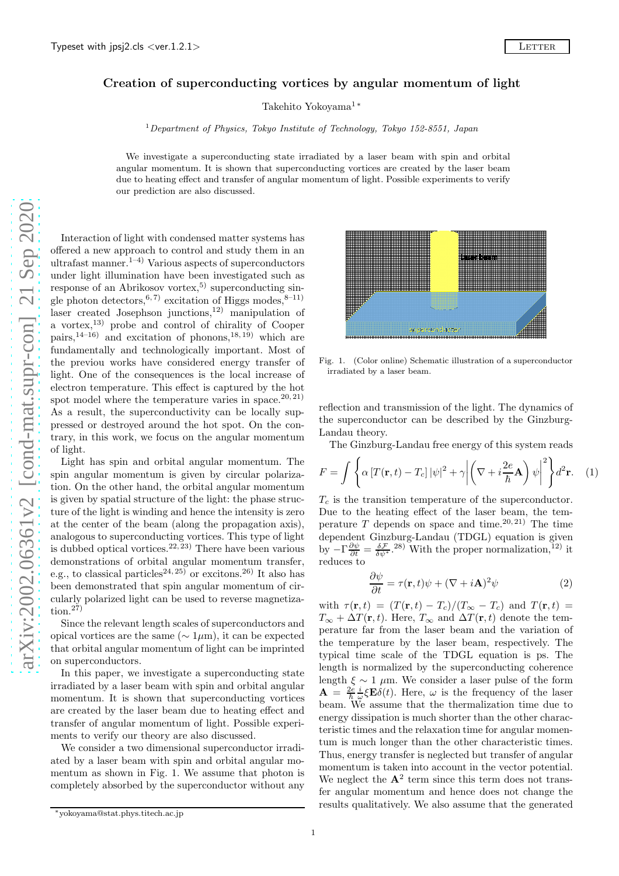## Creation of superconducting vortices by angular momentum of light

Takehito Yokoyama<sup>1</sup><sup>\*</sup>

<sup>1</sup> Department of Physics, Tokyo Institute of Technology, Tokyo 152-8551, Japan

We investigate a superconducting state irradiated by a laser beam with spin and orbital angular momentum. It is shown that superconducting vortices are created by the laser beam due to heating effect and transfer of angular momentum of light. Possible experiments to verify our prediction are also discussed.

Interaction of light with condensed matter systems has offered a new approach to control and study them in an ultrafast manner. $1-4$ ) Various aspects of superconductors under light illumination have been investigated such as response of an Abrikosov vortex,<sup>5)</sup> superconducting single photon detectors,  $6, 7$  excitation of Higgs modes,  $8-11$ ) laser created Josephson junctions,<sup>12)</sup> manipulation of a vortex,13) probe and control of chirality of Cooper pairs,<sup>14–16)</sup> and excitation of phonons,<sup>18, 19</sup>) which are fundamentally and technologically important. Most of the previou works have considered energy transfer of light. One of the consequences is the local increase of electron temperature. This effect is captured by the hot spot model where the temperature varies in space.  $20, 21$ ) As a result, the superconductivity can be locally suppressed or destroyed around the hot spot. On the contrary, in this work, we focus on the angular momentum of light.

Light has spin and orbital angular momentum. The spin angular momentum is given by circular polarization. On the other hand, the orbital angular momentum is given by spatial structure of the light: the phase structure of the light is winding and hence the intensity is zero at the center of the beam (along the propagation axis), analogous to superconducting vortices. This type of light is dubbed optical vortices.<sup>22, 23</sup> There have been various demonstrations of orbital angular momentum transfer, e.g., to classical particles<sup>24, 25</sup> or excitons.<sup>26</sup> It also has been demonstrated that spin angular momentum of circularly polarized light can be used to reverse magnetiza- $\text{tion.}^{27}$ 

Since the relevant length scales of superconductors and opical vortices are the same ( $\sim 1 \mu m$ ), it can be expected that orbital angular momentum of light can be imprinted on superconductors.

In this paper, we investigate a superconducting state irradiated by a laser beam with spin and orbital angular momentum. It is shown that superconducting vortices are created by the laser beam due to heating effect and transfer of angular momentum of light. Possible experiments to verify our theory are also discussed.

We consider a two dimensional superconductor irradiated by a laser beam with spin and orbital angular momentum as shown in Fig. 1. We assume that photon is completely absorbed by the superconductor without any

superconducto

Fig. 1. (Color online) Schematic illustration of a superconductor irradiated by a laser beam.

reflection and transmission of the light. The dynamics of the superconductor can be described by the Ginzburg-Landau theory.

The Ginzburg-Landau free energy of this system reads

$$
F = \int \left\{ \alpha \left[ T(\mathbf{r}, t) - T_c \right] |\psi|^2 + \gamma \left| \left( \nabla + i \frac{2e}{\hbar} \mathbf{A} \right) \psi \right|^2 \right\} d^2 \mathbf{r}.
$$
 (1)

 $T_c$  is the transition temperature of the superconductor. Due to the heating effect of the laser beam, the temperature  $T$  depends on space and time.<sup>20, 21</sup> The time dependent Ginzburg-Landau (TDGL) equation is given by  $-\Gamma \frac{\partial \psi}{\partial t} = \frac{\delta \mathcal{F}}{\delta \psi^*}$ .<sup>28)</sup> With the proper normalization,<sup>12)</sup> it reduces to

$$
\frac{\partial \psi}{\partial t} = \tau(\mathbf{r}, t)\psi + (\nabla + i\mathbf{A})^2 \psi \tag{2}
$$

with  $\tau(\mathbf{r}, t) = (T(\mathbf{r}, t) - T_c)/(T_{\infty} - T_c)$  and  $T(\mathbf{r}, t) =$  $T_{\infty} + \Delta T(\mathbf{r}, t)$ . Here,  $T_{\infty}$  and  $\Delta T(\mathbf{r}, t)$  denote the temperature far from the laser beam and the variation of the temperature by the laser beam, respectively. The typical time scale of the TDGL equation is ps. The length is normalized by the superconducting coherence length  $\xi \sim 1 \mu m$ . We consider a laser pulse of the form  $\mathbf{A} = \frac{2e}{\hbar} \frac{i}{\omega} \xi \mathbf{E} \delta(t)$ . Here,  $\omega$  is the frequency of the laser  $A = \frac{1}{\hbar} \frac{1}{\omega} \xi \mathbf{E} \theta(v)$ . Here,  $\omega$  is the hedgelicy of the laser energy dissipation is much shorter than the other characteristic times and the relaxation time for angular momentum is much longer than the other characteristic times. Thus, energy transfer is neglected but transfer of angular momentum is taken into account in the vector potential. We neglect the  $A^2$  term since this term does not transfer angular momentum and hence does not change the results qualitatively. We also assume that the generated



<sup>∗</sup>yokoyama@stat.phys.titech.ac.jp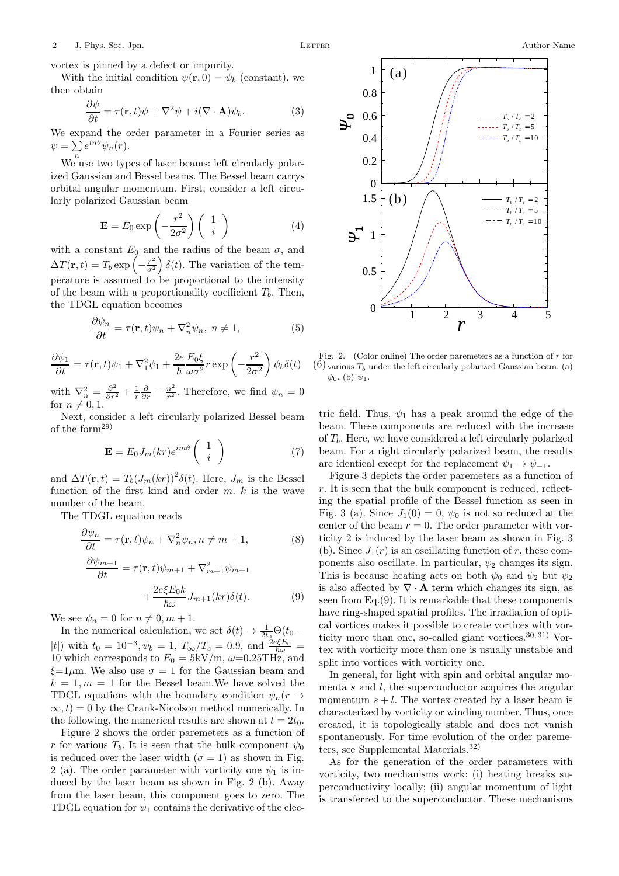vortex is pinned by a defect or impurity.

With the initial condition  $\psi(\mathbf{r},0) = \psi_b$  (constant), we then obtain

$$
\frac{\partial \psi}{\partial t} = \tau(\mathbf{r}, t)\psi + \nabla^2 \psi + i(\nabla \cdot \mathbf{A})\psi_b.
$$
 (3)

We expand the order parameter in a Fourier series as  $\psi = \sum_n e^{in\theta} \psi_n(r).$ 

We use two types of laser beams: left circularly polarized Gaussian and Bessel beams. The Bessel beam carrys orbital angular momentum. First, consider a left circularly polarized Gaussian beam

$$
\mathbf{E} = E_0 \exp\left(-\frac{r^2}{2\sigma^2}\right) \begin{pmatrix} 1\\ i \end{pmatrix}
$$
 (4)

with a constant  $E_0$  and the radius of the beam  $\sigma$ , and  $\Delta T(\mathbf{r},t) = T_b \exp \left(-\frac{r^2}{\sigma^2}\right)$  $\frac{r^2}{\sigma^2}$   $\delta(t)$ . The variation of the temperature is assumed to be proportional to the intensity of the beam with a proportionality coefficient  $T<sub>b</sub>$ . Then, the TDGL equation becomes

$$
\frac{\partial \psi_n}{\partial t} = \tau(\mathbf{r}, t)\psi_n + \nabla_n^2 \psi_n, \ n \neq 1,
$$
\n(5)

$$
\frac{\partial \psi_1}{\partial t} = \tau(\mathbf{r}, t)\psi_1 + \nabla_1^2 \psi_1 + \frac{2e}{\hbar} \frac{E_0 \xi}{\omega \sigma^2} r \exp\left(-\frac{r^2}{2\sigma^2}\right) \psi_b \delta(t)
$$

with  $\nabla_n^2 = \frac{\partial^2}{\partial r^2} + \frac{1}{r} \frac{\partial}{\partial r} - \frac{n^2}{r^2}$  $\frac{n^2}{r^2}$ . Therefore, we find  $\psi_n = 0$ for  $n \neq 0, 1$ .

Next, consider a left circularly polarized Bessel beam of the form29)

$$
\mathbf{E} = E_0 J_m(kr) e^{im\theta} \begin{pmatrix} 1 \\ i \end{pmatrix} \tag{7}
$$

and  $\Delta T(\mathbf{r},t) = T_b(J_m(kr))^2 \delta(t)$ . Here,  $J_m$  is the Bessel function of the first kind and order  $m$ .  $k$  is the wave number of the beam.

The TDGL equation reads

$$
\frac{\partial \psi_n}{\partial t} = \tau(\mathbf{r}, t)\psi_n + \nabla_n^2 \psi_n, n \neq m + 1,
$$
\n
$$
\frac{\partial \psi_{m+1}}{\partial t} = \frac{\partial \psi_{m+1}}{\partial t} \psi_n, \quad n \neq m + 1,
$$
\n(8)

$$
\frac{m+1}{\partial t} = \tau(\mathbf{r}, t)\psi_{m+1} + \nabla_{m+1}^2 \psi_{m+1}
$$

$$
+ \frac{2e\xi E_0 k}{\hbar \omega} J_{m+1}(kr)\delta(t). \tag{9}
$$

We see  $\psi_n = 0$  for  $n \neq 0, m + 1$ .

In the numerical calculation, we set  $\delta(t) \rightarrow \frac{1}{2t_0} \Theta(t_0 -$ |t|) with  $t_0 = 10^{-3}, \psi_b = 1, T_\infty/T_c = 0.9$ , and  $\frac{2e\xi E_0}{\hbar \omega}$  = 10 which corresponds to  $E_0 = 5 \text{kV/m}$ ,  $\omega = 0.25 \text{T Hz}$ , and  $\xi=1\,\mu\text{m}$ . We also use  $\sigma=1$  for the Gaussian beam and  $k = 1, m = 1$  for the Bessel beam. We have solved the TDGL equations with the boundary condition  $\psi_n(r \rightarrow$  $\infty, t$  = 0 by the Crank-Nicolson method numerically. In the following, the numerical results are shown at  $t = 2t_0$ .

Figure 2 shows the order paremeters as a function of r for various  $T_b$ . It is seen that the bulk component  $\psi_0$ is reduced over the laser width  $(\sigma = 1)$  as shown in Fig. 2 (a). The order parameter with vorticity one  $\psi_1$  is induced by the laser beam as shown in Fig. 2 (b). Away from the laser beam, this component goes to zero. The TDGL equation for  $\psi_1$  contains the derivative of the elec-



 $\psi_b \delta(t)$  (6) various  $T_b$  under the left circularly polarized Gaussian beam. (a) Fig. 2. (Color online) The order paremeters as a function of  $r$  for  $\psi_0$ . (b)  $\psi_1$ .

tric field. Thus,  $\psi_1$  has a peak around the edge of the beam. These components are reduced with the increase of  $T<sub>b</sub>$ . Here, we have considered a left circularly polarized beam. For a right circularly polarized beam, the results are identical except for the replacement  $\psi_1 \rightarrow \psi_{-1}$ .

Figure 3 depicts the order paremeters as a function of r. It is seen that the bulk component is reduced, reflecting the spatial profile of the Bessel function as seen in Fig. 3 (a). Since  $J_1(0) = 0$ ,  $\psi_0$  is not so reduced at the center of the beam  $r = 0$ . The order parameter with vorticity 2 is induced by the laser beam as shown in Fig. 3 (b). Since  $J_1(r)$  is an oscillating function of r, these components also oscillate. In particular,  $\psi_2$  changes its sign. This is because heating acts on both  $\psi_0$  and  $\psi_2$  but  $\psi_2$ is also affected by  $\nabla \cdot \mathbf{A}$  term which changes its sign, as seen from Eq.(9). It is remarkable that these components have ring-shaped spatial profiles. The irradiation of optical vortices makes it possible to create vortices with vorticity more than one, so-called giant vortices.  $30,31)$  Vortex with vorticity more than one is usually unstable and split into vortices with vorticity one.

In general, for light with spin and orbital angular momenta  $s$  and  $l$ , the superconductor acquires the angular momentum  $s + l$ . The vortex created by a laser beam is characterized by vorticity or winding number. Thus, once created, it is topologically stable and does not vanish spontaneously. For time evolution of the order paremeters, see Supplemental Materials.32)

As for the generation of the order parameters with vorticity, two mechanisms work: (i) heating breaks superconductivity locally; (ii) angular momentum of light is transferred to the superconductor. These mechanisms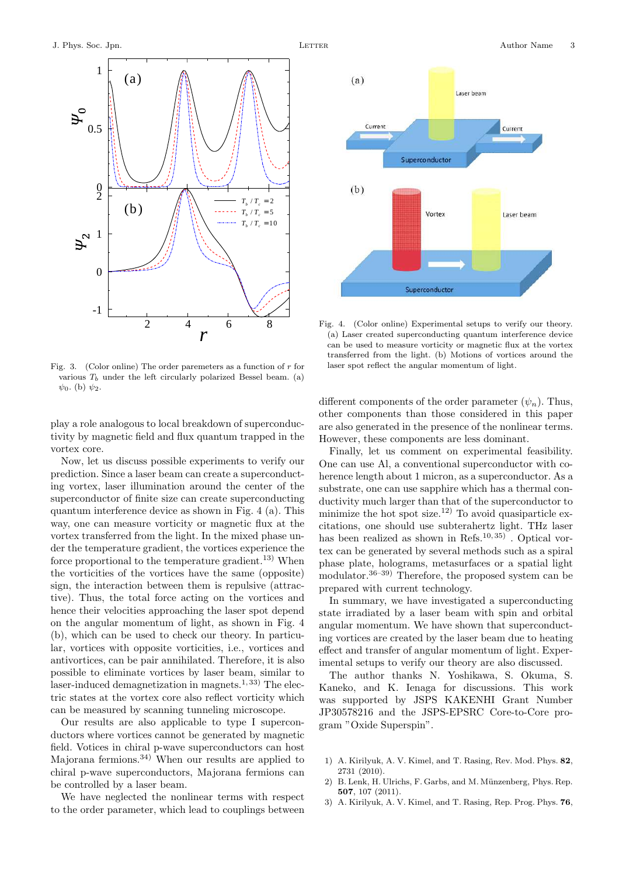

Fig. 3. (Color online) The order paremeters as a function of  $r$  for various  $T_b$  under the left circularly polarized Bessel beam. (a)  $\psi_0$ . (b)  $\psi_2$ .

play a role analogous to local breakdown of superconductivity by magnetic field and flux quantum trapped in the vortex core.

Now, let us discuss possible experiments to verify our prediction. Since a laser beam can create a superconducting vortex, laser illumination around the center of the superconductor of finite size can create superconducting quantum interference device as shown in Fig. 4 (a). This way, one can measure vorticity or magnetic flux at the vortex transferred from the light. In the mixed phase under the temperature gradient, the vortices experience the force proportional to the temperature gradient.<sup>13)</sup> When the vorticities of the vortices have the same (opposite) sign, the interaction between them is repulsive (attractive). Thus, the total force acting on the vortices and hence their velocities approaching the laser spot depend on the angular momentum of light, as shown in Fig. 4 (b), which can be used to check our theory. In particular, vortices with opposite vorticities, i.e., vortices and antivortices, can be pair annihilated. Therefore, it is also possible to eliminate vortices by laser beam, similar to laser-induced demagnetization in magnets.<sup>1, 33</sup>) The electric states at the vortex core also reflect vorticity which can be measured by scanning tunneling microscope.

Our results are also applicable to type I superconductors where vortices cannot be generated by magnetic field. Votices in chiral p-wave superconductors can host Majorana fermions.34) When our results are applied to chiral p-wave superconductors, Majorana fermions can be controlled by a laser beam.

We have neglected the nonlinear terms with respect to the order parameter, which lead to couplings between



Fig. 4. (Color online) Experimental setups to verify our theory. (a) Laser created superconducting quantum interference device can be used to measure vorticity or magnetic flux at the vortex transferred from the light. (b) Motions of vortices around the laser spot reflect the angular momentum of light.

different components of the order parameter  $(\psi_n)$ . Thus, other components than those considered in this paper are also generated in the presence of the nonlinear terms. However, these components are less dominant.

Finally, let us comment on experimental feasibility. One can use Al, a conventional superconductor with coherence length about 1 micron, as a superconductor. As a substrate, one can use sapphire which has a thermal conductivity much larger than that of the superconductor to minimize the hot spot size.<sup>12)</sup> To avoid quasiparticle excitations, one should use subterahertz light. THz laser has been realized as shown in Refs.<sup>10, 35</sup> $)$ . Optical vortex can be generated by several methods such as a spiral phase plate, holograms, metasurfaces or a spatial light modulator.36–39) Therefore, the proposed system can be prepared with current technology.

In summary, we have investigated a superconducting state irradiated by a laser beam with spin and orbital angular momentum. We have shown that superconducting vortices are created by the laser beam due to heating effect and transfer of angular momentum of light. Experimental setups to verify our theory are also discussed.

The author thanks N. Yoshikawa, S. Okuma, S. Kaneko, and K. Ienaga for discussions. This work was supported by JSPS KAKENHI Grant Number JP30578216 and the JSPS-EPSRC Core-to-Core program "Oxide Superspin".

- 1) A. Kirilyuk, A. V. Kimel, and T. Rasing, Rev. Mod. Phys. 82, 2731 (2010).
- 2) B. Lenk, H. Ulrichs, F. Garbs, and M. Münzenberg, Phys. Rep. 507, 107 (2011).
- 3) A. Kirilyuk, A. V. Kimel, and T. Rasing, Rep. Prog. Phys. 76,